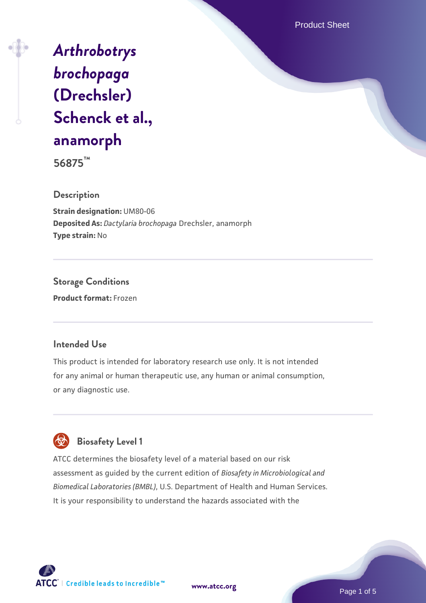Product Sheet

# *[Arthrobotrys](https://www.atcc.org/products/56875) [brochopaga](https://www.atcc.org/products/56875)* **[\(Drechsler\)](https://www.atcc.org/products/56875) [Schenck et al.,](https://www.atcc.org/products/56875) [anamorph](https://www.atcc.org/products/56875)**

**56875™**

**Description**

**Strain designation:** UM80-06 **Deposited As:** *Dactylaria brochopaga* Drechsler, anamorph **Type strain:** No

**Storage Conditions Product format:** Frozen

#### **Intended Use**

This product is intended for laboratory research use only. It is not intended for any animal or human therapeutic use, any human or animal consumption, or any diagnostic use.



ATCC determines the biosafety level of a material based on our risk assessment as guided by the current edition of *Biosafety in Microbiological and Biomedical Laboratories (BMBL)*, U.S. Department of Health and Human Services. It is your responsibility to understand the hazards associated with the



**[www.atcc.org](http://www.atcc.org)**

Page 1 of 5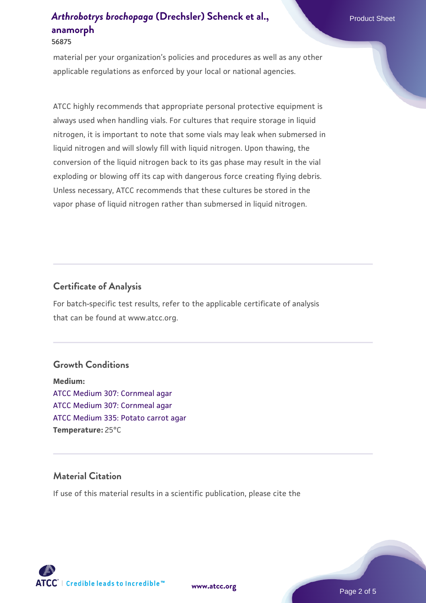#### **56875**

material per your organization's policies and procedures as well as any other applicable regulations as enforced by your local or national agencies.

ATCC highly recommends that appropriate personal protective equipment is always used when handling vials. For cultures that require storage in liquid nitrogen, it is important to note that some vials may leak when submersed in liquid nitrogen and will slowly fill with liquid nitrogen. Upon thawing, the conversion of the liquid nitrogen back to its gas phase may result in the vial exploding or blowing off its cap with dangerous force creating flying debris. Unless necessary, ATCC recommends that these cultures be stored in the vapor phase of liquid nitrogen rather than submersed in liquid nitrogen.

#### **Certificate of Analysis**

For batch-specific test results, refer to the applicable certificate of analysis that can be found at www.atcc.org.

#### **Growth Conditions**

**Medium:**  [ATCC Medium 307: Cornmeal agar](https://www.atcc.org/-/media/product-assets/documents/microbial-media-formulations/3/0/7/atcc-medium-307.pdf?rev=5cd8aaa5fcde44f5873396cc2a06f590) [ATCC Medium 307: Cornmeal agar](https://www.atcc.org/-/media/product-assets/documents/microbial-media-formulations/3/0/7/atcc-medium-307.pdf?rev=5cd8aaa5fcde44f5873396cc2a06f590) [ATCC Medium 335: Potato carrot agar](https://www.atcc.org/-/media/product-assets/documents/microbial-media-formulations/3/3/5/atcc-medium-335.pdf?rev=a7055ab8b3c54646a9d0bdf7b34c1606) **Temperature:** 25°C

#### **Material Citation**

If use of this material results in a scientific publication, please cite the



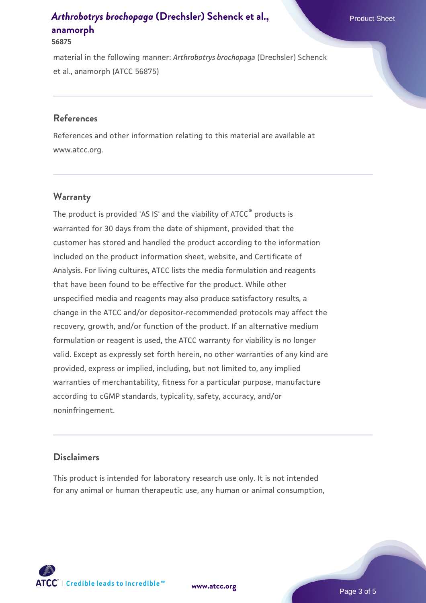#### **56875**

material in the following manner: *Arthrobotrys brochopaga* (Drechsler) Schenck et al., anamorph (ATCC 56875)

#### **References**

References and other information relating to this material are available at www.atcc.org.

#### **Warranty**

The product is provided 'AS IS' and the viability of  $ATCC<sup>®</sup>$  products is warranted for 30 days from the date of shipment, provided that the customer has stored and handled the product according to the information included on the product information sheet, website, and Certificate of Analysis. For living cultures, ATCC lists the media formulation and reagents that have been found to be effective for the product. While other unspecified media and reagents may also produce satisfactory results, a change in the ATCC and/or depositor-recommended protocols may affect the recovery, growth, and/or function of the product. If an alternative medium formulation or reagent is used, the ATCC warranty for viability is no longer valid. Except as expressly set forth herein, no other warranties of any kind are provided, express or implied, including, but not limited to, any implied warranties of merchantability, fitness for a particular purpose, manufacture according to cGMP standards, typicality, safety, accuracy, and/or noninfringement.

#### **Disclaimers**

This product is intended for laboratory research use only. It is not intended for any animal or human therapeutic use, any human or animal consumption,



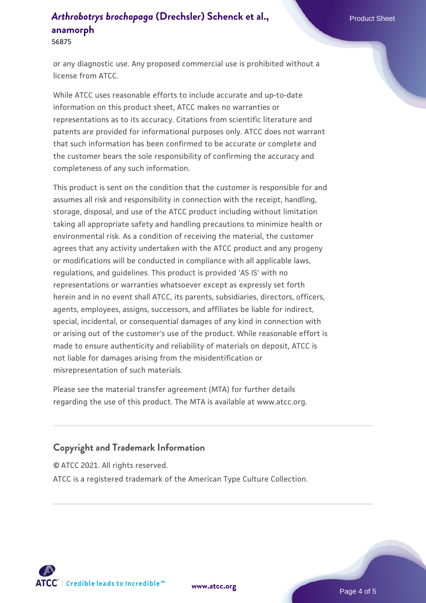**56875**

or any diagnostic use. Any proposed commercial use is prohibited without a license from ATCC.

While ATCC uses reasonable efforts to include accurate and up-to-date information on this product sheet, ATCC makes no warranties or representations as to its accuracy. Citations from scientific literature and patents are provided for informational purposes only. ATCC does not warrant that such information has been confirmed to be accurate or complete and the customer bears the sole responsibility of confirming the accuracy and completeness of any such information.

This product is sent on the condition that the customer is responsible for and assumes all risk and responsibility in connection with the receipt, handling, storage, disposal, and use of the ATCC product including without limitation taking all appropriate safety and handling precautions to minimize health or environmental risk. As a condition of receiving the material, the customer agrees that any activity undertaken with the ATCC product and any progeny or modifications will be conducted in compliance with all applicable laws, regulations, and guidelines. This product is provided 'AS IS' with no representations or warranties whatsoever except as expressly set forth herein and in no event shall ATCC, its parents, subsidiaries, directors, officers, agents, employees, assigns, successors, and affiliates be liable for indirect, special, incidental, or consequential damages of any kind in connection with or arising out of the customer's use of the product. While reasonable effort is made to ensure authenticity and reliability of materials on deposit, ATCC is not liable for damages arising from the misidentification or misrepresentation of such materials.

Please see the material transfer agreement (MTA) for further details regarding the use of this product. The MTA is available at www.atcc.org.

### **Copyright and Trademark Information**

© ATCC 2021. All rights reserved.

ATCC is a registered trademark of the American Type Culture Collection.



**[www.atcc.org](http://www.atcc.org)**